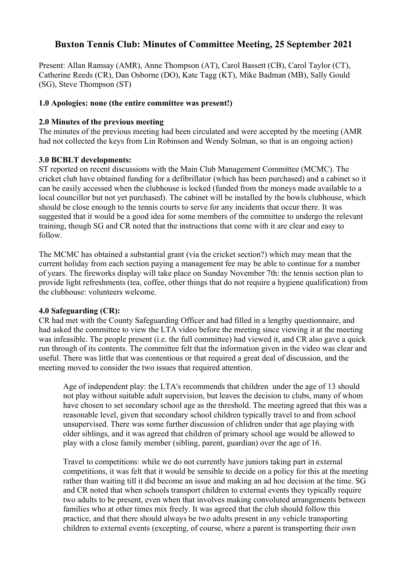# **Buxton Tennis Club: Minutes of Committee Meeting, 25 September 2021**

Present: Allan Ramsay (AMR), Anne Thompson (AT), Carol Bassett (CB), Carol Taylor (CT), Catherine Reeds (CR), Dan Osborne (DO), Kate Tagg (KT), Mike Badman (MB), Sally Gould (SG), Steve Thompson (ST)

#### **1.0 Apologies: none (the entire committee was present!)**

#### **2.0 Minutes of the previous meeting**

The minutes of the previous meeting had been circulated and were accepted by the meeting (AMR had not collected the keys from Lin Robinson and Wendy Solman, so that is an ongoing action)

#### **3.0 BCBLT developments:**

ST reported on recent discussions with the Main Club Management Committee (MCMC). The cricket club have obtained funding for a defibrillator (which has been purchased) and a cabinet so it can be easily accessed when the clubhouse is locked (funded from the moneys made available to a local councillor but not yet purchased). The cabinet will be installed by the bowls clubhouse, which should be close enough to the tennis courts to serve for any incidents that occur there. It was suggested that it would be a good idea for some members of the committee to undergo the relevant training, though SG and CR noted that the instructions that come with it are clear and easy to follow.

The MCMC has obtained a substantial grant (via the cricket section?) which may mean that the current holiday from each section paying a management fee may be able to continue for a number of years. The fireworks display will take place on Sunday November 7th: the tennis section plan to provide light refreshments (tea, coffee, other things that do not require a hygiene qualification) from the clubhouse: volunteers welcome.

### **4.0 Safeguarding (CR):**

CR had met with the County Safeguarding Officer and had filled in a lengthy questionnaire, and had asked the committee to view the LTA video before the meeting since viewing it at the meeting was infeasible. The people present (i.e. the full committee) had viewed it, and CR also gave a quick run through of its contents. The committee felt that the information given in the video was clear and useful. There was little that was contentious or that required a great deal of discussion, and the meeting moved to consider the two issues that required attention.

Age of independent play: the LTA's recommends that children under the age of 13 should not play without suitable adult supervision, but leaves the decision to clubs, many of whom have chosen to set secondary school age as the threshold. The meeting agreed that this was a reasonable level, given that secondary school children typically travel to and from school unsupervised. There was some further discussion of chlidren under that age playing with older siblings, and it was agreed that children of primary school age would be allowed to play with a close family member (sibling, parent, guardian) over the age of 16.

Travel to competitions: while we do not currently have juniors taking part in external competitions, it was felt that it would be sensible to decide on a policy for this at the meeting rather than waiting till it did become an issue and making an ad hoc decision at the time. SG and CR noted that when schools transport children to external events they typically require two adults to be present, even when that involves making convoluted arrangements between families who at other times mix freely. It was agreed that the club should follow this practice, and that there should always be two adults present in any vehicle transporting children to external events (excepting, of course, where a parent is transporting their own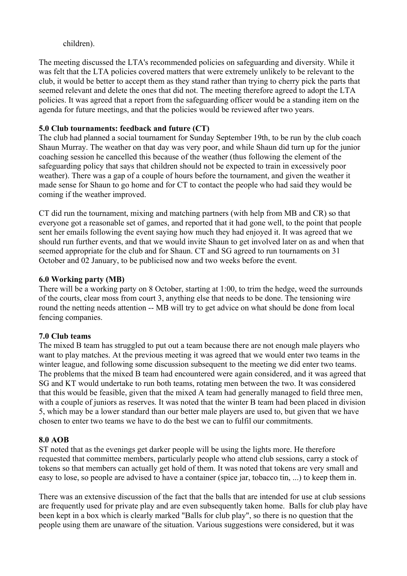### children).

The meeting discussed the LTA's recommended policies on safeguarding and diversity. While it was felt that the LTA policies covered matters that were extremely unlikely to be relevant to the club, it would be better to accept them as they stand rather than trying to cherry pick the parts that seemed relevant and delete the ones that did not. The meeting therefore agreed to adopt the LTA policies. It was agreed that a report from the safeguarding officer would be a standing item on the agenda for future meetings, and that the policies would be reviewed after two years.

## **5.0 Club tournaments: feedback and future (CT)**

The club had planned a social tournament for Sunday September 19th, to be run by the club coach Shaun Murray. The weather on that day was very poor, and while Shaun did turn up for the junior coaching session he cancelled this because of the weather (thus following the element of the safeguarding policy that says that children should not be expected to train in excessively poor weather). There was a gap of a couple of hours before the tournament, and given the weather it made sense for Shaun to go home and for CT to contact the people who had said they would be coming if the weather improved.

CT did run the tournament, mixing and matching partners (with help from MB and CR) so that everyone got a reasonable set of games, and reported that it had gone well, to the point that people sent her emails following the event saying how much they had enjoyed it. It was agreed that we should run further events, and that we would invite Shaun to get involved later on as and when that seemed appropriate for the club and for Shaun. CT and SG agreed to run tournaments on 31 October and 02 January, to be publicised now and two weeks before the event.

### **6.0 Working party (MB)**

There will be a working party on 8 October, starting at 1:00, to trim the hedge, weed the surrounds of the courts, clear moss from court 3, anything else that needs to be done. The tensioning wire round the netting needs attention -- MB will try to get advice on what should be done from local fencing companies.

# **7.0 Club teams**

The mixed B team has struggled to put out a team because there are not enough male players who want to play matches. At the previous meeting it was agreed that we would enter two teams in the winter league, and following some discussion subsequent to the meeting we did enter two teams. The problems that the mixed B team had encountered were again considered, and it was agreed that SG and KT would undertake to run both teams, rotating men between the two. It was considered that this would be feasible, given that the mixed A team had generally managed to field three men, with a couple of juniors as reserves. It was noted that the winter B team had been placed in division 5, which may be a lower standard than our better male players are used to, but given that we have chosen to enter two teams we have to do the best we can to fulfil our commitments.

# **8.0 AOB**

ST noted that as the evenings get darker people will be using the lights more. He therefore requested that committee members, particularly people who attend club sessions, carry a stock of tokens so that members can actually get hold of them. It was noted that tokens are very small and easy to lose, so people are advised to have a container (spice jar, tobacco tin, ...) to keep them in.

There was an extensive discussion of the fact that the balls that are intended for use at club sessions are frequently used for private play and are even subsequently taken home. Balls for club play have been kept in a box which is clearly marked "Balls for club play", so there is no question that the people using them are unaware of the situation. Various suggestions were considered, but it was